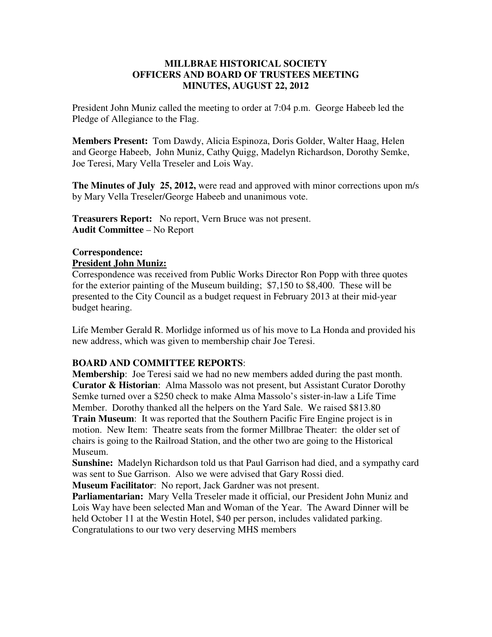## **MILLBRAE HISTORICAL SOCIETY OFFICERS AND BOARD OF TRUSTEES MEETING MINUTES, AUGUST 22, 2012**

President John Muniz called the meeting to order at 7:04 p.m. George Habeeb led the Pledge of Allegiance to the Flag.

**Members Present:** Tom Dawdy, Alicia Espinoza, Doris Golder, Walter Haag, Helen and George Habeeb, John Muniz, Cathy Quigg, Madelyn Richardson, Dorothy Semke, Joe Teresi, Mary Vella Treseler and Lois Way.

**The Minutes of July 25, 2012,** were read and approved with minor corrections upon m/s by Mary Vella Treseler/George Habeeb and unanimous vote.

**Treasurers Report:** No report, Vern Bruce was not present. **Audit Committee** – No Report

## **Correspondence:**

**President John Muniz:** 

Correspondence was received from Public Works Director Ron Popp with three quotes for the exterior painting of the Museum building; \$7,150 to \$8,400. These will be presented to the City Council as a budget request in February 2013 at their mid-year budget hearing.

Life Member Gerald R. Morlidge informed us of his move to La Honda and provided his new address, which was given to membership chair Joe Teresi.

## **BOARD AND COMMITTEE REPORTS**:

**Membership**: Joe Teresi said we had no new members added during the past month. **Curator & Historian**: Alma Massolo was not present, but Assistant Curator Dorothy Semke turned over a \$250 check to make Alma Massolo's sister-in-law a Life Time Member. Dorothy thanked all the helpers on the Yard Sale. We raised \$813.80 **Train Museum**: It was reported that the Southern Pacific Fire Engine project is in motion. New Item: Theatre seats from the former Millbrae Theater: the older set of chairs is going to the Railroad Station, and the other two are going to the Historical Museum.

**Sunshine:** Madelyn Richardson told us that Paul Garrison had died, and a sympathy card was sent to Sue Garrison. Also we were advised that Gary Rossi died.

**Museum Facilitator**: No report, Jack Gardner was not present.

**Parliamentarian:** Mary Vella Treseler made it official, our President John Muniz and Lois Way have been selected Man and Woman of the Year. The Award Dinner will be held October 11 at the Westin Hotel, \$40 per person, includes validated parking. Congratulations to our two very deserving MHS members